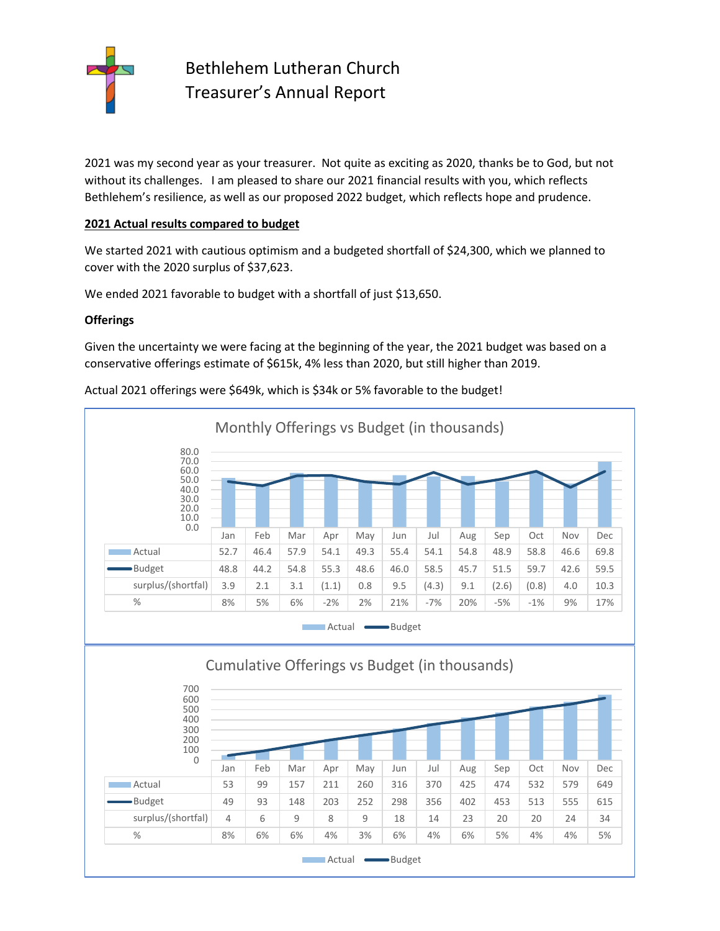

2021 was my second year as your treasurer. Not quite as exciting as 2020, thanks be to God, but not without its challenges. I am pleased to share our 2021 financial results with you, which reflects Bethlehem's resilience, as well as our proposed 2022 budget, which reflects hope and prudence.

## **2021 Actual results compared to budget**

We started 2021 with cautious optimism and a budgeted shortfall of \$24,300, which we planned to cover with the 2020 surplus of \$37,623.

We ended 2021 favorable to budget with a shortfall of just \$13,650.

# **Offerings**

Given the uncertainty we were facing at the beginning of the year, the 2021 budget was based on a conservative offerings estimate of \$615k, 4% less than 2020, but still higher than 2019.



Actual 2021 offerings were \$649k, which is \$34k or 5% favorable to the budget!

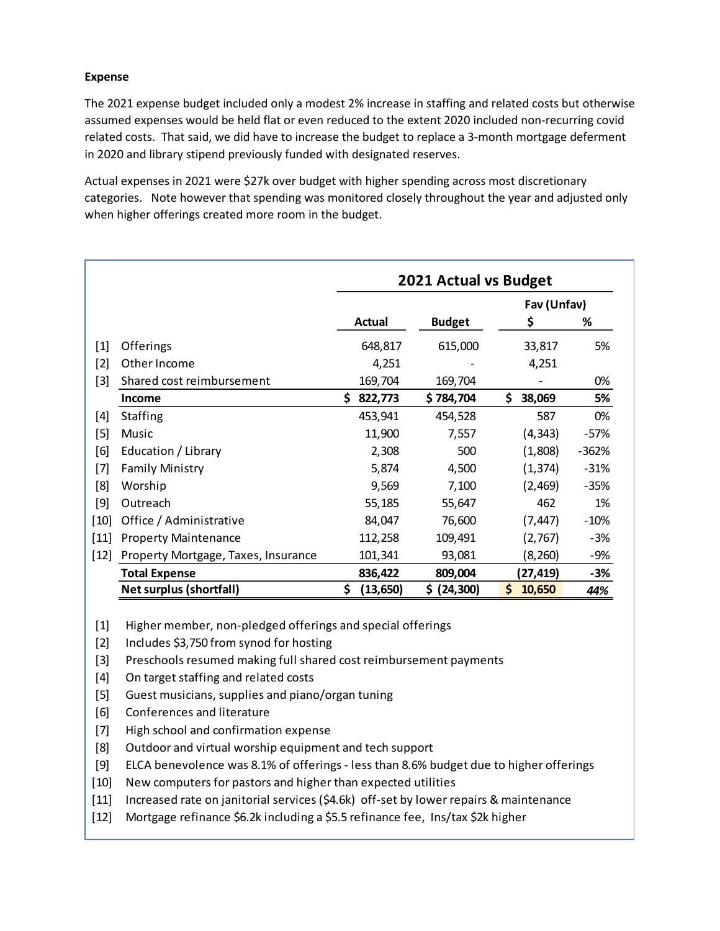## **Expense**

The 2021 expense budget included only a modest 2% increase in staffing and related costs but otherwise assumed expenses would be held flat or even reduced to the extent 2020 included non-recurring covid related costs. That said, we did have to increase the budget to replace a 3-month mortgage deferment in 2020 and library stipend previously funded with designated reserves.

Actual expenses in 2021 were \$27k over budget with higher spending across most discretionary categories. Note however that spending was monitored closely throughout the year and adjusted only when higher offerings created more room in the budget.

|        |                                     | <b>2021 Actual vs Budget</b> |                 |              |         |  |  |  |  |  |
|--------|-------------------------------------|------------------------------|-----------------|--------------|---------|--|--|--|--|--|
|        |                                     |                              |                 | Fav (Unfav)  |         |  |  |  |  |  |
|        |                                     | Actual                       | <b>Budget</b>   | \$           | %       |  |  |  |  |  |
| $[1]$  | Offerings                           | 648,817                      | 615,000         | 33,817       | 5%      |  |  |  |  |  |
| $[2]$  | Other Income                        | 4,251                        |                 | 4,251        |         |  |  |  |  |  |
| $[3]$  | Shared cost reimbursement           | 169,704                      | 169,704         |              | 0%      |  |  |  |  |  |
|        | Income                              | 822,773<br>S.                | \$784,704       | Ś.<br>38,069 | 5%      |  |  |  |  |  |
| [4]    | Staffing                            | 453,941                      | 454,528         | 587          | 0%      |  |  |  |  |  |
| $[5]$  | <b>Music</b>                        | 11,900                       | 7,557           | (4, 343)     | $-57%$  |  |  |  |  |  |
| [6]    | Education / Library                 | 2,308                        | 500             | (1,808)      | $-362%$ |  |  |  |  |  |
| $[7]$  | <b>Family Ministry</b>              | 5,874                        | 4,500           | (1, 374)     | $-31%$  |  |  |  |  |  |
| [8]    | Worship                             | 9,569                        | 7,100           | (2,469)      | $-35%$  |  |  |  |  |  |
| $[9]$  | Outreach                            | 55,185                       | 55,647          | 462          | 1%      |  |  |  |  |  |
| $[10]$ | Office / Administrative             | 84,047                       | 76,600          | (7, 447)     | $-10%$  |  |  |  |  |  |
| $[11]$ | <b>Property Maintenance</b>         | 112,258                      | 109,491         | (2,767)      | $-3%$   |  |  |  |  |  |
| $[12]$ | Property Mortgage, Taxes, Insurance | 101,341                      | 93,081          | (8, 260)     | -9%     |  |  |  |  |  |
|        | <b>Total Expense</b>                | 836,422                      | 809,004         | (27,419)     | $-3%$   |  |  |  |  |  |
|        | <b>Net surplus (shortfall)</b>      | \$<br>(13, 650)              | S.<br>(24, 300) | \$<br>10,650 | 44%     |  |  |  |  |  |

[1] Higher member, non-pledged offerings and special offerings

[2] Includes \$3,750 from synod for hosting

- [3] Preschools resumed making full shared cost reimbursement payments
- [4] On target staffing and related costs
- [5] Guest musicians, supplies and piano/organ tuning
- [6] Conferences and literature
- [7] High school and confirmation expense
- [8] Outdoor and virtual worship equipment and tech support
- [9] ELCA benevolence was 8.1% of offerings less than 8.6% budget due to higher offerings
- [10] New computers for pastors and higher than expected utilities
- [11] Increased rate on janitorial services (\$4.6k) off-set by lower repairs & maintenance
- [12] Mortgage refinance \$6.2k including a \$5.5 refinance fee, Ins/tax \$2k higher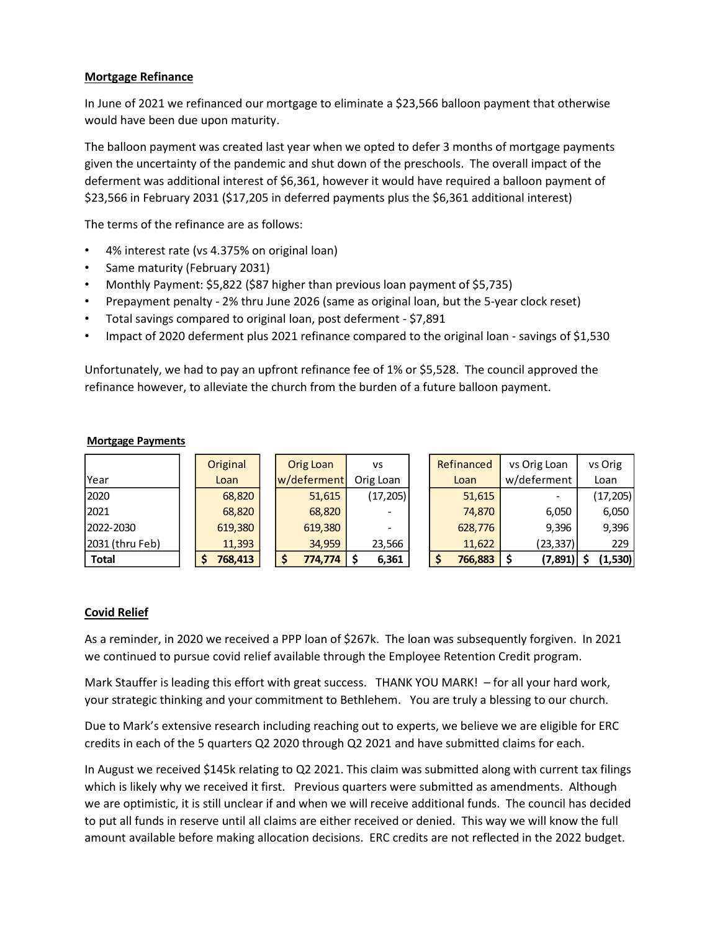# **Mortgage Refinance**

In June of 2021 we refinanced our mortgage to eliminate a \$23,566 balloon payment that otherwise would have been due upon maturity.

The balloon payment was created last year when we opted to defer 3 months of mortgage payments given the uncertainty of the pandemic and shut down of the preschools. The overall impact of the deferment was additional interest of \$6,361, however it would have required a balloon payment of \$23,566 in February 2031 (\$17,205 in deferred payments plus the \$6,361 additional interest)

The terms of the refinance are as follows:

- 4% interest rate (vs 4.375% on original loan)
- Same maturity (February 2031)
- Monthly Payment: \$5,822 (\$87 higher than previous loan payment of \$5,735)
- Prepayment penalty 2% thru June 2026 (same as original loan, but the 5-year clock reset)
- Total savings compared to original loan, post deferment \$7,891
- Impact of 2020 deferment plus 2021 refinance compared to the original loan savings of \$1,530

Unfortunately, we had to pay an upfront refinance fee of 1% or \$5,528. The council approved the refinance however, to alleviate the church from the burden of a future balloon payment.

|                 | Original | Orig Loan   | VS        | Refinanced | vs Orig Loan | vs Orig   |
|-----------------|----------|-------------|-----------|------------|--------------|-----------|
| Year            | Loan     | w/deferment | Orig Loan | Loan       | w/deferment  | Loan      |
| 2020            | 68,820   | 51,615      | (17, 205) | 51,615     | -            | (17, 205) |
| 2021            | 68,820   | 68,820      |           | 74,870     | 6,050        | 6,050     |
| 2022-2030       | 619,380  | 619,380     |           | 628,776    | 9,396        | 9,396     |
| 2031 (thru Feb) | 11,393   | 34,959      | 23,566    | 11,622     | (23, 337)    | 229       |
| <b>Total</b>    | 768,413  | 774,774     | 6,361     | 766,883    | $(7,891)$ \$ | (1, 530)  |

#### **Mortgage Payments**

#### **Covid Relief**

As a reminder, in 2020 we received a PPP loan of \$267k. The loan was subsequently forgiven. In 2021 we continued to pursue covid relief available through the Employee Retention Credit program.

Mark Stauffer is leading this effort with great success. THANK YOU MARK! – for all your hard work, your strategic thinking and your commitment to Bethlehem. You are truly a blessing to our church.

Due to Mark's extensive research including reaching out to experts, we believe we are eligible for ERC credits in each of the 5 quarters Q2 2020 through Q2 2021 and have submitted claims for each.

In August we received \$145k relating to Q2 2021. This claim was submitted along with current tax filings which is likely why we received it first. Previous quarters were submitted as amendments. Although we are optimistic, it is still unclear if and when we will receive additional funds. The council has decided to put all funds in reserve until all claims are either received or denied. This way we will know the full amount available before making allocation decisions. ERC credits are not reflected in the 2022 budget.